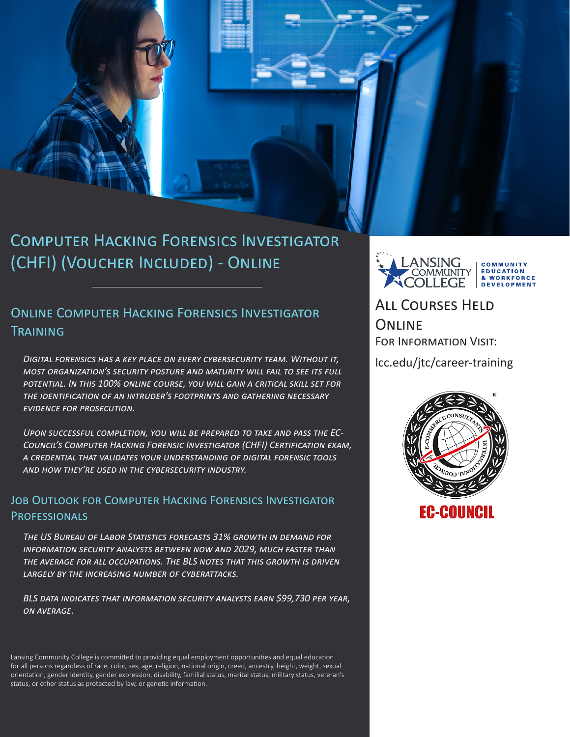

### Online Computer Hacking Forensics Investigator **TRAINING**

*Digital forensics has a key place on every cybersecurity team. Without it, most organization's security posture and maturity will fail to see its full potential. In this 100% online course, you will gain a critical skill set for the identification of an intruder's footprints and gathering necessary evidence for prosecution.* 

*Upon successful completion, you will be prepared to take and pass the EC-Council's Computer Hacking Forensic Investigator (CHFI) Certification exam, a credential that validates your understanding of digital forensic tools and how they're used in the cybersecurity industry.*

### Job Outlook for Computer Hacking Forensics Investigator **PROFESSIONALS**

*The US Bureau of Labor Statistics forecasts 31% growth in demand for information security analysts between now and 2029, much faster than the average for all occupations. The BLS notes that this growth is driven largely by the increasing number of cyberattacks.*

*BLS data indicates that information security analysts earn \$99,730 per year, on average.*

**NSINC** COMMUNIT **OMMUNITY EDUCATION** & WORKFORCE **DEVELOPMENT** 

All Courses Held **ONLINE** For Information Visit:

lcc.edu/jtc/career-training



Lansing Community College is committed to providing equal employment opportunities and equal education for all persons regardless of race, color, sex, age, religion, national origin, creed, ancestry, height, weight, sexual orientation, gender identity, gender expression, disability, familial status, marital status, military status, veteran's status, or other status as protected by law, or genetic information.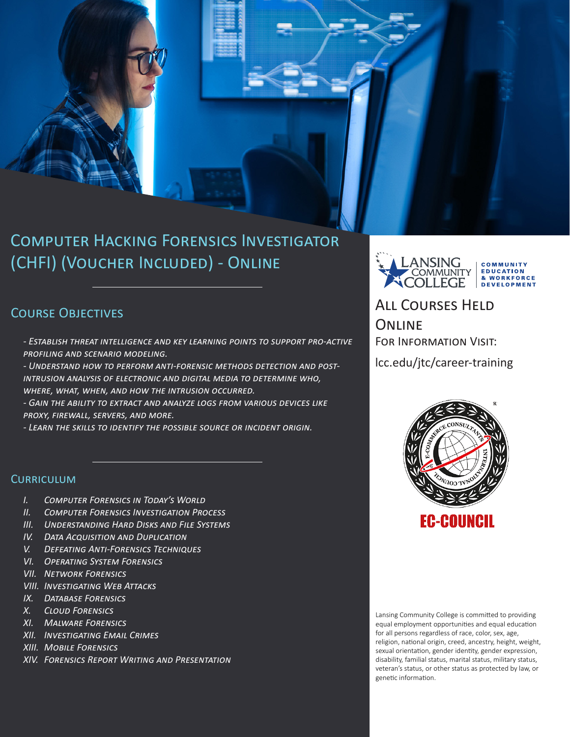## Computer Hacking Forensics Investigator (CHFI) (Voucher Included) - Online

### COURSE OBJECTIVES

- *Establish threat intelligence and key learning points to support pro-active profiling and scenario modeling.*
- *Understand how to perform anti-forensic methods detection and postintrusion analysis of electronic and digital media to determine who, where, what, when, and how the intrusion occurred.*
- *Gain the ability to extract and analyze logs from various devices like proxy, firewall, servers, and more.*
- *Learn the skills to identify the possible source or incident origin.*

### **CURRICULUM**

- *I. Computer Forensics in Today's World*
- *II. Computer Forensics Investigation Process*
- *III. Understanding Hard Disks and File Systems*
- *IV. Data Acquisition and Duplication*
- *V. Defeating Anti-Forensics Techniques*
- *VI. Operating System Forensics*
- *VII. Network Forensics*
- *VIII. Investigating Web Attacks*
- *IX. Database Forensics*
- *X. Cloud Forensics*
- *XI. Malware Forensics*
- *XII. Investigating Email Crimes*
- *XIII. Mobile Forensics*
- *XIV. Forensics Report Writing and Presentation*



# All Courses Held **ONLINE**

For Information Visit:

lcc.edu/jtc/career-training



Lansing Community College is committed to providing equal employment opportunities and equal education for all persons regardless of race, color, sex, age, religion, national origin, creed, ancestry, height, weight, sexual orientation, gender identity, gender expression, disability, familial status, marital status, military status, veteran's status, or other status as protected by law, or genetic information.